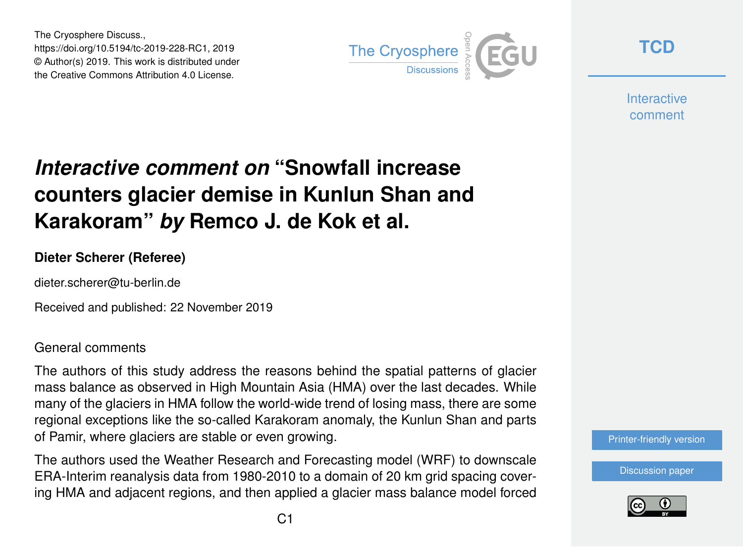The Cryosphere Discuss., https://doi.org/10.5194/tc-2019-228-RC1, 2019 © Author(s) 2019. This work is distributed under the Creative Commons Attribution 4.0 License.



**[TCD](https://www.the-cryosphere-discuss.net/)**

**Interactive** comment

## *Interactive comment on* **"Snowfall increase counters glacier demise in Kunlun Shan and Karakoram"** *by* **Remco J. de Kok et al.**

## **Dieter Scherer (Referee)**

dieter.scherer@tu-berlin.de

Received and published: 22 November 2019

General comments

The authors of this study address the reasons behind the spatial patterns of glacier mass balance as observed in High Mountain Asia (HMA) over the last decades. While many of the glaciers in HMA follow the world-wide trend of losing mass, there are some regional exceptions like the so-called Karakoram anomaly, the Kunlun Shan and parts of Pamir, where glaciers are stable or even growing.

The authors used the Weather Research and Forecasting model (WRF) to downscale ERA-Interim reanalysis data from 1980-2010 to a domain of 20 km grid spacing covering HMA and adjacent regions, and then applied a glacier mass balance model forced



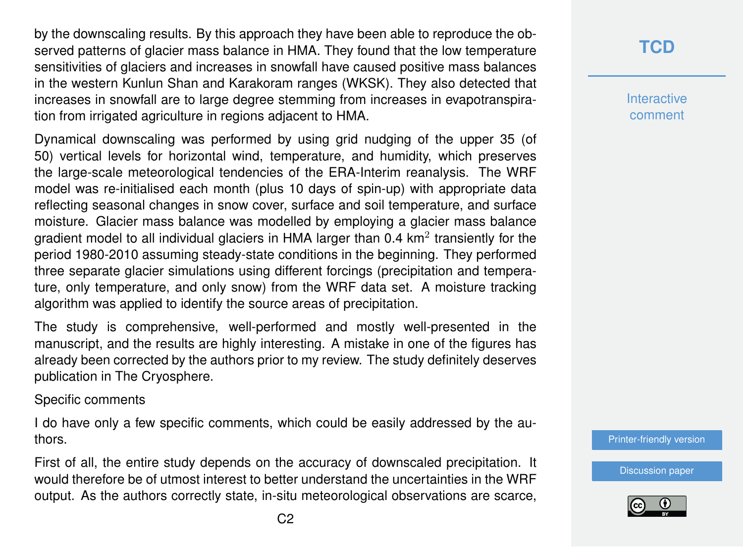by the downscaling results. By this approach they have been able to reproduce the observed patterns of glacier mass balance in HMA. They found that the low temperature sensitivities of glaciers and increases in snowfall have caused positive mass balances in the western Kunlun Shan and Karakoram ranges (WKSK). They also detected that increases in snowfall are to large degree stemming from increases in evapotranspiration from irrigated agriculture in regions adjacent to HMA.

Dynamical downscaling was performed by using grid nudging of the upper 35 (of 50) vertical levels for horizontal wind, temperature, and humidity, which preserves the large-scale meteorological tendencies of the ERA-Interim reanalysis. The WRF model was re-initialised each month (plus 10 days of spin-up) with appropriate data reflecting seasonal changes in snow cover, surface and soil temperature, and surface moisture. Glacier mass balance was modelled by employing a glacier mass balance gradient model to all individual glaciers in HMA larger than 0.4 km<sup>2</sup> transiently for the period 1980-2010 assuming steady-state conditions in the beginning. They performed three separate glacier simulations using different forcings (precipitation and temperature, only temperature, and only snow) from the WRF data set. A moisture tracking algorithm was applied to identify the source areas of precipitation.

The study is comprehensive, well-performed and mostly well-presented in the manuscript, and the results are highly interesting. A mistake in one of the figures has already been corrected by the authors prior to my review. The study definitely deserves publication in The Cryosphere.

Specific comments

I do have only a few specific comments, which could be easily addressed by the authors.

First of all, the entire study depends on the accuracy of downscaled precipitation. It would therefore be of utmost interest to better understand the uncertainties in the WRF output. As the authors correctly state, in-situ meteorological observations are scarce,

**Interactive** comment

[Printer-friendly version](https://www.the-cryosphere-discuss.net/tc-2019-228/tc-2019-228-RC1-print.pdf)

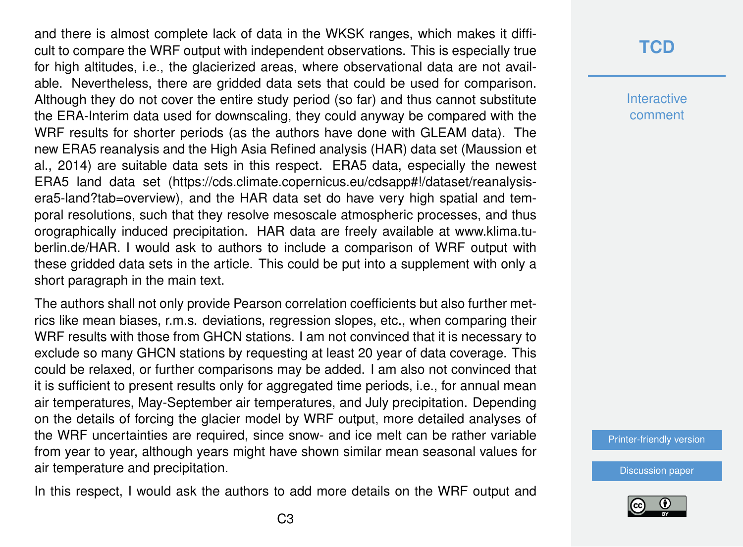and there is almost complete lack of data in the WKSK ranges, which makes it difficult to compare the WRF output with independent observations. This is especially true for high altitudes, i.e., the glacierized areas, where observational data are not available. Nevertheless, there are gridded data sets that could be used for comparison. Although they do not cover the entire study period (so far) and thus cannot substitute the ERA-Interim data used for downscaling, they could anyway be compared with the WRF results for shorter periods (as the authors have done with GLEAM data). The new ERA5 reanalysis and the High Asia Refined analysis (HAR) data set (Maussion et al., 2014) are suitable data sets in this respect. ERA5 data, especially the newest ERA5 land data set (https://cds.climate.copernicus.eu/cdsapp#!/dataset/reanalysisera5-land?tab=overview), and the HAR data set do have very high spatial and temporal resolutions, such that they resolve mesoscale atmospheric processes, and thus orographically induced precipitation. HAR data are freely available at www.klima.tuberlin.de/HAR. I would ask to authors to include a comparison of WRF output with these gridded data sets in the article. This could be put into a supplement with only a short paragraph in the main text.

The authors shall not only provide Pearson correlation coefficients but also further metrics like mean biases, r.m.s. deviations, regression slopes, etc., when comparing their WRF results with those from GHCN stations. I am not convinced that it is necessary to exclude so many GHCN stations by requesting at least 20 year of data coverage. This could be relaxed, or further comparisons may be added. I am also not convinced that it is sufficient to present results only for aggregated time periods, i.e., for annual mean air temperatures, May-September air temperatures, and July precipitation. Depending on the details of forcing the glacier model by WRF output, more detailed analyses of the WRF uncertainties are required, since snow- and ice melt can be rather variable from year to year, although years might have shown similar mean seasonal values for air temperature and precipitation.

In this respect, I would ask the authors to add more details on the WRF output and

**Interactive** comment

[Printer-friendly version](https://www.the-cryosphere-discuss.net/tc-2019-228/tc-2019-228-RC1-print.pdf)